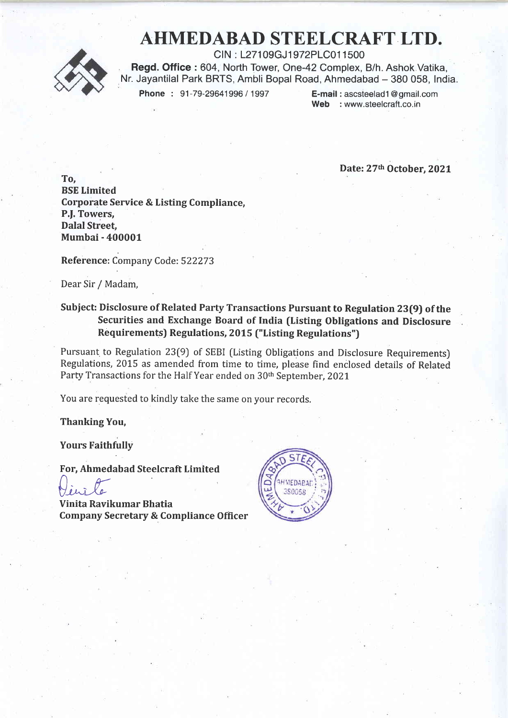## AHMEDABAD STEELCRAFT LTD.



CIN : L27109GJ1972PLC011500 Read. Office : 604. North Tower, One-42 Complex, B/h. Ashok Vatika, Nr. Jayantilal Park BRTS, Ambli Bopal Road, Ahmedabad - 380 058, India.<br>Phone: 91-79-29641996 / 1997 E-mail : ascsteelad1@gmail.com

Phone : 91-79-29641996 / 1997

Web : www.steelcraft.co.in

Date: 27th October, 2021

To, BSE Limited Corporate Service & Listing Compliance, P.J. Towers, Dalal Street Mumbai - 400001

Reference: Company Code: 522273

Dear Sir / Madam,

## Subject: Disclosure of Related Party Transactions Pursuant to Regulation 23(9) of the Securities and Exchange Board of India (Listing Obligations and Disclosure Requirements) Regulations, 2015 ("Listing Regulations")

Pursuant to Regulation 23(9) of SEBI [Listing Obligations and Disclosure Requirements) Regulations, 2015 as amended from time to time, please find enclosed details of Related Party Transactions for the Half Year ended on 30<sup>th</sup> September, 2021

You are requested to kindly take the same on your records.

Thanking You,

Yours Faithfully

For, Ahmedabad Steelcraft Limited

Vinile

Vinita Ravikumar Bhatia Company Secretary & Compliance Officer

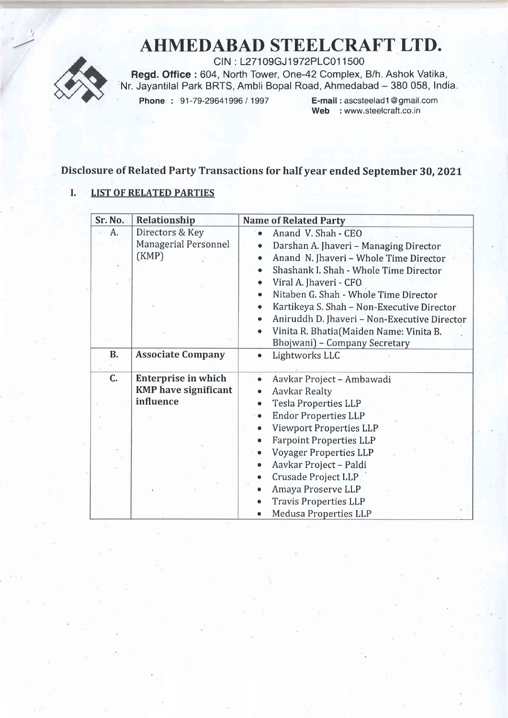# AHMEDABAD STEELCRAFT UfD.



CIN : l-27109GJ 1972PLC01 1500 Regd. Office : 604, North Tower, One-42 Complex, B/h. Ashok Vatika, Nr. Jayantilal Park BRTS, Ambli Bopal Road, Ahmedabad - 380 058, India.<br>Phone: 91-79-29641996 / 1997 E-mail : ascsteelad1@gmail.com

Phone : 91-79-29641996 / 1997

Web : www.steelcraft.co.in

## Disclosure of Related Party Transactions for half year ended September 30, 202t

### I. LIST OF RELATED PARTIES

| Sr. No.   | Relationship                | <b>Name of Related Party</b>                              |  |  |
|-----------|-----------------------------|-----------------------------------------------------------|--|--|
| А.        | Directors & Key             | Anand V. Shah - CEO                                       |  |  |
|           | Managerial Personnel        | Darshan A. Jhaveri - Managing Director                    |  |  |
|           | (KMP)                       | Anand N. Jhaveri - Whole Time Director                    |  |  |
|           |                             | Shashank I. Shah - Whole Time Director                    |  |  |
|           |                             | Viral A. Jhaveri - CFO                                    |  |  |
|           |                             | Nitaben G. Shah - Whole Time Director                     |  |  |
|           |                             | Kartikeya S. Shah - Non-Executive Director                |  |  |
|           |                             | Aniruddh D. Jhaveri - Non-Executive Director<br>$\bullet$ |  |  |
|           |                             | Vinita R. Bhatia(Maiden Name: Vinita B.                   |  |  |
|           |                             | Bhojwani) - Company Secretary                             |  |  |
| <b>B.</b> | <b>Associate Company</b>    | Lightworks LLC                                            |  |  |
|           |                             |                                                           |  |  |
| C.        | <b>Enterprise in which</b>  | $\ddot{\bullet}$<br>Aavkar Project - Ambawadi             |  |  |
|           | <b>KMP</b> have significant | <b>Aavkar Realty</b>                                      |  |  |
|           | influence                   | <b>Tesla Properties LLP</b><br>$\bullet$                  |  |  |
|           |                             | <b>Endor Properties LLP</b>                               |  |  |
|           |                             | <b>Viewport Properties LLP</b>                            |  |  |
|           |                             | <b>Farpoint Properties LLP</b><br>$\bullet$               |  |  |
|           |                             | <b>Voyager Properties LLP</b>                             |  |  |
|           |                             | Aavkar Project - Paldi<br>$\bullet$                       |  |  |
|           |                             | Crusade Project LLP                                       |  |  |
|           |                             | Amaya Proserve LLP                                        |  |  |
|           |                             | <b>Travis Properties LLP</b>                              |  |  |
|           |                             | Medusa Properties LLP                                     |  |  |